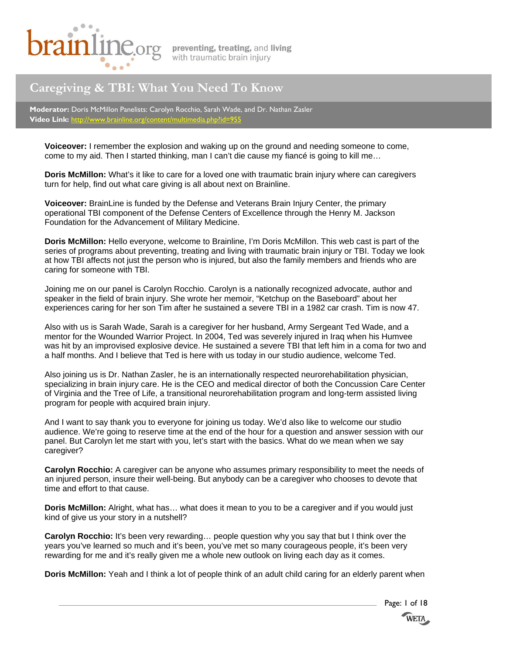

# **Caregiving & TBI: What You Need To Know**

**Moderator:** Doris McMillon Panelists: Carolyn Rocchio, Sarah Wade, and Dr. Nathan Zasler **Video Link:** http://www.brainline.org

**Voiceover:** I remember the explosion and waking up on the ground and needing someone to come, come to my aid. Then I started thinking, man I can't die cause my fiancé is going to kill me…

**Doris McMillon:** What's it like to care for a loved one with traumatic brain injury where can caregivers turn for help, find out what care giving is all about next on Brainline.

**Voiceover:** BrainLine is funded by the Defense and Veterans Brain Injury Center, the primary operational TBI component of the Defense Centers of Excellence through the Henry M. Jackson Foundation for the Advancement of Military Medicine.

**Doris McMillon:** Hello everyone, welcome to Brainline, I'm Doris McMillon. This web cast is part of the series of programs about preventing, treating and living with traumatic brain injury or TBI. Today we look at how TBI affects not just the person who is injured, but also the family members and friends who are caring for someone with TBI.

Joining me on our panel is Carolyn Rocchio. Carolyn is a nationally recognized advocate, author and speaker in the field of brain injury. She wrote her memoir, "Ketchup on the Baseboard" about her experiences caring for her son Tim after he sustained a severe TBI in a 1982 car crash. Tim is now 47.

Also with us is Sarah Wade, Sarah is a caregiver for her husband, Army Sergeant Ted Wade, and a mentor for the Wounded Warrior Project. In 2004, Ted was severely injured in Iraq when his Humvee was hit by an improvised explosive device. He sustained a severe TBI that left him in a coma for two and a half months. And I believe that Ted is here with us today in our studio audience, welcome Ted.

Also joining us is Dr. Nathan Zasler, he is an internationally respected neurorehabilitation physician, specializing in brain injury care. He is the CEO and medical director of both the Concussion Care Center of Virginia and the Tree of Life, a transitional neurorehabilitation program and long-term assisted living program for people with acquired brain injury.

And I want to say thank you to everyone for joining us today. We'd also like to welcome our studio audience. We're going to reserve time at the end of the hour for a question and answer session with our panel. But Carolyn let me start with you, let's start with the basics. What do we mean when we say caregiver?

**Carolyn Rocchio:** A caregiver can be anyone who assumes primary responsibility to meet the needs of an injured person, insure their well-being. But anybody can be a caregiver who chooses to devote that time and effort to that cause.

**Doris McMillon:** Alright, what has… what does it mean to you to be a caregiver and if you would just kind of give us your story in a nutshell?

**Carolyn Rocchio:** It's been very rewarding… people question why you say that but I think over the years you've learned so much and it's been, you've met so many courageous people, it's been very rewarding for me and it's really given me a whole new outlook on living each day as it comes.

**Doris McMillon:** Yeah and I think a lot of people think of an adult child caring for an elderly parent when

Page: 1 of 18 **WETA**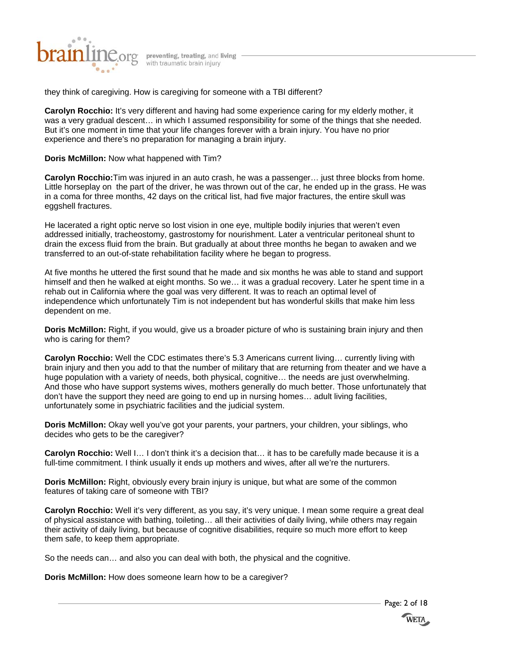

they think of caregiving. How is caregiving for someone with a TBI different?

**Carolyn Rocchio:** It's very different and having had some experience caring for my elderly mother, it was a very gradual descent… in which I assumed responsibility for some of the things that she needed. But it's one moment in time that your life changes forever with a brain injury. You have no prior experience and there's no preparation for managing a brain injury.

**Doris McMillon:** Now what happened with Tim?

**Carolyn Rocchio:**Tim was injured in an auto crash, he was a passenger… just three blocks from home. Little horseplay on the part of the driver, he was thrown out of the car, he ended up in the grass. He was in a coma for three months, 42 days on the critical list, had five major fractures, the entire skull was eggshell fractures.

He lacerated a right optic nerve so lost vision in one eye, multiple bodily injuries that weren't even addressed initially, tracheostomy, gastrostomy for nourishment. Later a ventricular peritoneal shunt to drain the excess fluid from the brain. But gradually at about three months he began to awaken and we transferred to an out-of-state rehabilitation facility where he began to progress.

At five months he uttered the first sound that he made and six months he was able to stand and support himself and then he walked at eight months. So we... it was a gradual recovery. Later he spent time in a rehab out in California where the goal was very different. It was to reach an optimal level of independence which unfortunately Tim is not independent but has wonderful skills that make him less dependent on me.

**Doris McMillon:** Right, if you would, give us a broader picture of who is sustaining brain injury and then who is caring for them?

**Carolyn Rocchio:** Well the CDC estimates there's 5.3 Americans current living… currently living with brain injury and then you add to that the number of military that are returning from theater and we have a huge population with a variety of needs, both physical, cognitive… the needs are just overwhelming. And those who have support systems wives, mothers generally do much better. Those unfortunately that don't have the support they need are going to end up in nursing homes… adult living facilities, unfortunately some in psychiatric facilities and the judicial system.

**Doris McMillon:** Okay well you've got your parents, your partners, your children, your siblings, who decides who gets to be the caregiver?

**Carolyn Rocchio:** Well I… I don't think it's a decision that… it has to be carefully made because it is a full-time commitment. I think usually it ends up mothers and wives, after all we're the nurturers.

**Doris McMillon:** Right, obviously every brain injury is unique, but what are some of the common features of taking care of someone with TBI?

**Carolyn Rocchio:** Well it's very different, as you say, it's very unique. I mean some require a great deal of physical assistance with bathing, toileting… all their activities of daily living, while others may regain their activity of daily living, but because of cognitive disabilities, require so much more effort to keep them safe, to keep them appropriate.

So the needs can… and also you can deal with both, the physical and the cognitive.

**Doris McMillon:** How does someone learn how to be a caregiver?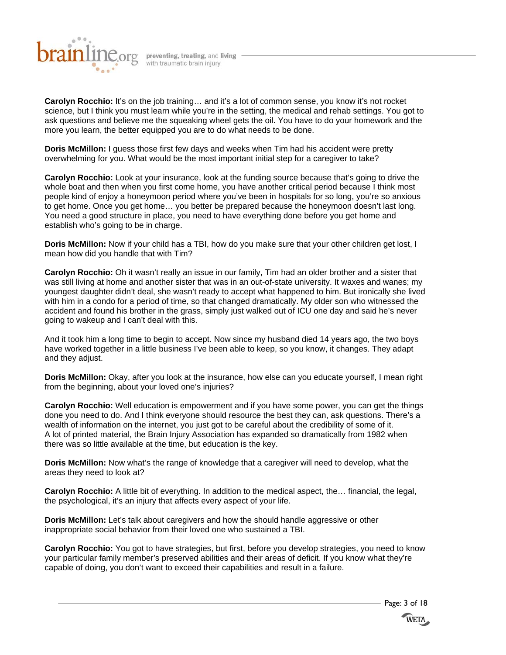

**Carolyn Rocchio:** It's on the job training… and it's a lot of common sense, you know it's not rocket science, but I think you must learn while you're in the setting, the medical and rehab settings. You got to ask questions and believe me the squeaking wheel gets the oil. You have to do your homework and the more you learn, the better equipped you are to do what needs to be done.

**Doris McMillon:** I guess those first few days and weeks when Tim had his accident were pretty overwhelming for you. What would be the most important initial step for a caregiver to take?

**Carolyn Rocchio:** Look at your insurance, look at the funding source because that's going to drive the whole boat and then when you first come home, you have another critical period because I think most people kind of enjoy a honeymoon period where you've been in hospitals for so long, you're so anxious to get home. Once you get home… you better be prepared because the honeymoon doesn't last long. You need a good structure in place, you need to have everything done before you get home and establish who's going to be in charge.

**Doris McMillon:** Now if your child has a TBI, how do you make sure that your other children get lost, I mean how did you handle that with Tim?

**Carolyn Rocchio:** Oh it wasn't really an issue in our family, Tim had an older brother and a sister that was still living at home and another sister that was in an out-of-state university. It waxes and wanes; my youngest daughter didn't deal, she wasn't ready to accept what happened to him. But ironically she lived with him in a condo for a period of time, so that changed dramatically. My older son who witnessed the accident and found his brother in the grass, simply just walked out of ICU one day and said he's never going to wakeup and I can't deal with this.

And it took him a long time to begin to accept. Now since my husband died 14 years ago, the two boys have worked together in a little business I've been able to keep, so you know, it changes. They adapt and they adjust.

**Doris McMillon:** Okay, after you look at the insurance, how else can you educate yourself, I mean right from the beginning, about your loved one's injuries?

**Carolyn Rocchio:** Well education is empowerment and if you have some power, you can get the things done you need to do. And I think everyone should resource the best they can, ask questions. There's a wealth of information on the internet, you just got to be careful about the credibility of some of it. A lot of printed material, the Brain Injury Association has expanded so dramatically from 1982 when there was so little available at the time, but education is the key.

**Doris McMillon:** Now what's the range of knowledge that a caregiver will need to develop, what the areas they need to look at?

**Carolyn Rocchio:** A little bit of everything. In addition to the medical aspect, the… financial, the legal, the psychological, it's an injury that affects every aspect of your life.

**Doris McMillon:** Let's talk about caregivers and how the should handle aggressive or other inappropriate social behavior from their loved one who sustained a TBI.

**Carolyn Rocchio:** You got to have strategies, but first, before you develop strategies, you need to know your particular family member's preserved abilities and their areas of deficit. If you know what they're capable of doing, you don't want to exceed their capabilities and result in a failure.

Page: 3 of 18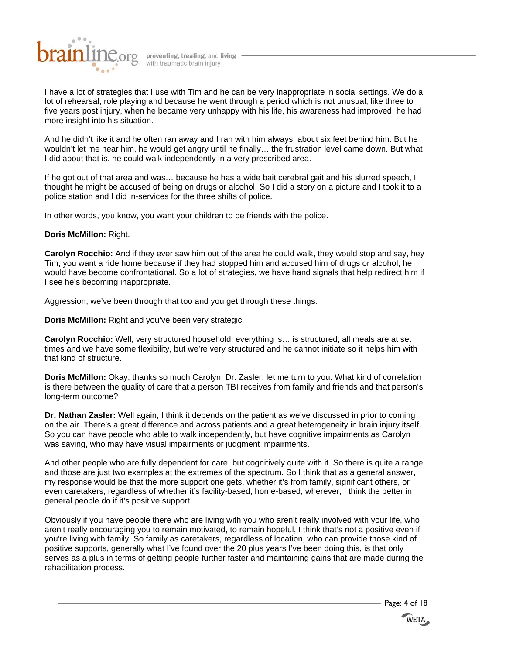

I have a lot of strategies that I use with Tim and he can be very inappropriate in social settings. We do a lot of rehearsal, role playing and because he went through a period which is not unusual, like three to five years post injury, when he became very unhappy with his life, his awareness had improved, he had more insight into his situation.

And he didn't like it and he often ran away and I ran with him always, about six feet behind him. But he wouldn't let me near him, he would get angry until he finally… the frustration level came down. But what I did about that is, he could walk independently in a very prescribed area.

If he got out of that area and was… because he has a wide bait cerebral gait and his slurred speech, I thought he might be accused of being on drugs or alcohol. So I did a story on a picture and I took it to a police station and I did in-services for the three shifts of police.

In other words, you know, you want your children to be friends with the police.

# **Doris McMillon:** Right.

**Carolyn Rocchio:** And if they ever saw him out of the area he could walk, they would stop and say, hey Tim, you want a ride home because if they had stopped him and accused him of drugs or alcohol, he would have become confrontational. So a lot of strategies, we have hand signals that help redirect him if I see he's becoming inappropriate.

Aggression, we've been through that too and you get through these things.

**Doris McMillon:** Right and you've been very strategic.

**Carolyn Rocchio:** Well, very structured household, everything is… is structured, all meals are at set times and we have some flexibility, but we're very structured and he cannot initiate so it helps him with that kind of structure.

**Doris McMillon:** Okay, thanks so much Carolyn. Dr. Zasler, let me turn to you. What kind of correlation is there between the quality of care that a person TBI receives from family and friends and that person's long-term outcome?

**Dr. Nathan Zasler:** Well again, I think it depends on the patient as we've discussed in prior to coming on the air. There's a great difference and across patients and a great heterogeneity in brain injury itself. So you can have people who able to walk independently, but have cognitive impairments as Carolyn was saying, who may have visual impairments or judgment impairments.

And other people who are fully dependent for care, but cognitively quite with it. So there is quite a range and those are just two examples at the extremes of the spectrum. So I think that as a general answer, my response would be that the more support one gets, whether it's from family, significant others, or even caretakers, regardless of whether it's facility-based, home-based, wherever, I think the better in general people do if it's positive support.

Obviously if you have people there who are living with you who aren't really involved with your life, who aren't really encouraging you to remain motivated, to remain hopeful, I think that's not a positive even if you're living with family. So family as caretakers, regardless of location, who can provide those kind of positive supports, generally what I've found over the 20 plus years I've been doing this, is that only serves as a plus in terms of getting people further faster and maintaining gains that are made during the rehabilitation process.

Page: 4 of 18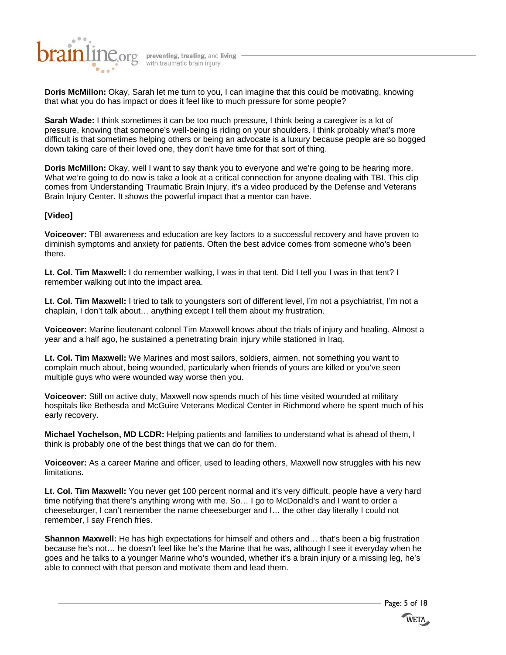

**Doris McMillon:** Okay, Sarah let me turn to you, I can imagine that this could be motivating, knowing that what you do has impact or does it feel like to much pressure for some people?

**Sarah Wade:** I think sometimes it can be too much pressure, I think being a caregiver is a lot of pressure, knowing that someone's well-being is riding on your shoulders. I think probably what's more difficult is that sometimes helping others or being an advocate is a luxury because people are so bogged down taking care of their loved one, they don't have time for that sort of thing.

**Doris McMillon:** Okay, well I want to say thank you to everyone and we're going to be hearing more. What we're going to do now is take a look at a critical connection for anyone dealing with TBI. This clip comes from Understanding Traumatic Brain Injury, it's a video produced by the Defense and Veterans Brain Injury Center. It shows the powerful impact that a mentor can have.

# **[Video]**

**Voiceover:** TBI awareness and education are key factors to a successful recovery and have proven to diminish symptoms and anxiety for patients. Often the best advice comes from someone who's been there.

**Lt. Col. Tim Maxwell:** I do remember walking, I was in that tent. Did I tell you I was in that tent? I remember walking out into the impact area.

**Lt. Col. Tim Maxwell:** I tried to talk to youngsters sort of different level, I'm not a psychiatrist, I'm not a chaplain, I don't talk about… anything except I tell them about my frustration.

**Voiceover:** Marine lieutenant colonel Tim Maxwell knows about the trials of injury and healing. Almost a year and a half ago, he sustained a penetrating brain injury while stationed in Iraq.

**Lt. Col. Tim Maxwell:** We Marines and most sailors, soldiers, airmen, not something you want to complain much about, being wounded, particularly when friends of yours are killed or you've seen multiple guys who were wounded way worse then you.

**Voiceover:** Still on active duty, Maxwell now spends much of his time visited wounded at military hospitals like Bethesda and McGuire Veterans Medical Center in Richmond where he spent much of his early recovery.

**Michael Yochelson, MD LCDR:** Helping patients and families to understand what is ahead of them, I think is probably one of the best things that we can do for them.

**Voiceover:** As a career Marine and officer, used to leading others, Maxwell now struggles with his new limitations.

**Lt. Col. Tim Maxwell:** You never get 100 percent normal and it's very difficult, people have a very hard time notifying that there's anything wrong with me. So… I go to McDonald's and I want to order a cheeseburger, I can't remember the name cheeseburger and I… the other day literally I could not remember, I say French fries.

**Shannon Maxwell:** He has high expectations for himself and others and… that's been a big frustration because he's not… he doesn't feel like he's the Marine that he was, although I see it everyday when he goes and he talks to a younger Marine who's wounded, whether it's a brain injury or a missing leg, he's able to connect with that person and motivate them and lead them.

Page: 5 of 18

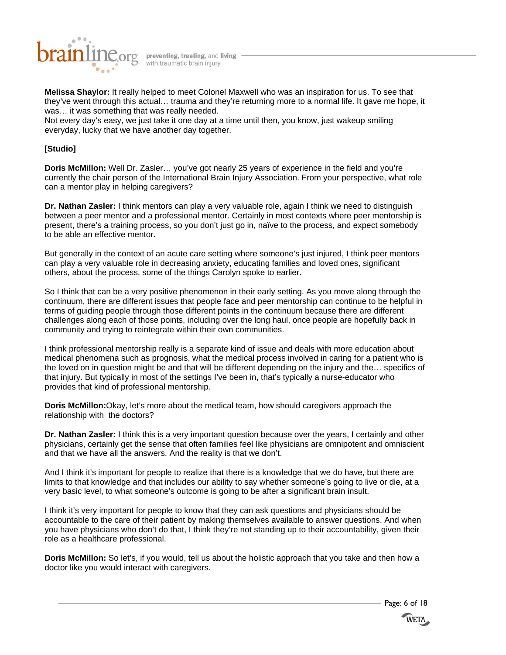

**Melissa Shaylor:** It really helped to meet Colonel Maxwell who was an inspiration for us. To see that they've went through this actual… trauma and they're returning more to a normal life. It gave me hope, it was… it was something that was really needed.

Not every day's easy, we just take it one day at a time until then, you know, just wakeup smiling everyday, lucky that we have another day together.

# **[Studio]**

**Doris McMillon:** Well Dr. Zasler… you've got nearly 25 years of experience in the field and you're currently the chair person of the International Brain Injury Association. From your perspective, what role can a mentor play in helping caregivers?

**Dr. Nathan Zasler:** I think mentors can play a very valuable role, again I think we need to distinguish between a peer mentor and a professional mentor. Certainly in most contexts where peer mentorship is present, there's a training process, so you don't just go in, naïve to the process, and expect somebody to be able an effective mentor.

But generally in the context of an acute care setting where someone's just injured, I think peer mentors can play a very valuable role in decreasing anxiety, educating families and loved ones, significant others, about the process, some of the things Carolyn spoke to earlier.

So I think that can be a very positive phenomenon in their early setting. As you move along through the continuum, there are different issues that people face and peer mentorship can continue to be helpful in terms of guiding people through those different points in the continuum because there are different challenges along each of those points, including over the long haul, once people are hopefully back in community and trying to reintegrate within their own communities.

I think professional mentorship really is a separate kind of issue and deals with more education about medical phenomena such as prognosis, what the medical process involved in caring for a patient who is the loved on in question might be and that will be different depending on the injury and the… specifics of that injury. But typically in most of the settings I've been in, that's typically a nurse-educator who provides that kind of professional mentorship.

**Doris McMillon:**Okay, let's more about the medical team, how should caregivers approach the relationship with the doctors?

**Dr. Nathan Zasler:** I think this is a very important question because over the years, I certainly and other physicians, certainly get the sense that often families feel like physicians are omnipotent and omniscient and that we have all the answers. And the reality is that we don't.

And I think it's important for people to realize that there is a knowledge that we do have, but there are limits to that knowledge and that includes our ability to say whether someone's going to live or die, at a very basic level, to what someone's outcome is going to be after a significant brain insult.

I think it's very important for people to know that they can ask questions and physicians should be accountable to the care of their patient by making themselves available to answer questions. And when you have physicians who don't do that, I think they're not standing up to their accountability, given their role as a healthcare professional.

**Doris McMillon:** So let's, if you would, tell us about the holistic approach that you take and then how a doctor like you would interact with caregivers.

Page: 6 of 18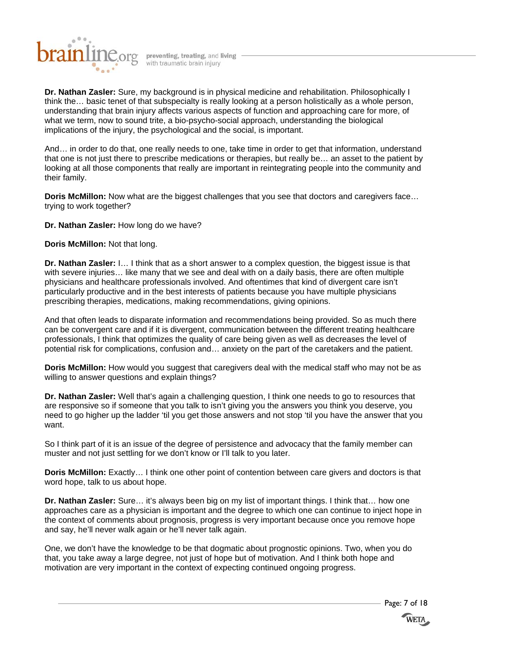

**Dr. Nathan Zasler:** Sure, my background is in physical medicine and rehabilitation. Philosophically I think the… basic tenet of that subspecialty is really looking at a person holistically as a whole person, understanding that brain injury affects various aspects of function and approaching care for more, of what we term, now to sound trite, a bio-psycho-social approach, understanding the biological implications of the injury, the psychological and the social, is important.

And… in order to do that, one really needs to one, take time in order to get that information, understand that one is not just there to prescribe medications or therapies, but really be… an asset to the patient by looking at all those components that really are important in reintegrating people into the community and their family.

**Doris McMillon:** Now what are the biggest challenges that you see that doctors and caregivers face… trying to work together?

**Dr. Nathan Zasler:** How long do we have?

**Doris McMillon:** Not that long.

**Dr. Nathan Zasler:** I… I think that as a short answer to a complex question, the biggest issue is that with severe injuries… like many that we see and deal with on a daily basis, there are often multiple physicians and healthcare professionals involved. And oftentimes that kind of divergent care isn't particularly productive and in the best interests of patients because you have multiple physicians prescribing therapies, medications, making recommendations, giving opinions.

And that often leads to disparate information and recommendations being provided. So as much there can be convergent care and if it is divergent, communication between the different treating healthcare professionals, I think that optimizes the quality of care being given as well as decreases the level of potential risk for complications, confusion and… anxiety on the part of the caretakers and the patient.

**Doris McMillon:** How would you suggest that caregivers deal with the medical staff who may not be as willing to answer questions and explain things?

**Dr. Nathan Zasler:** Well that's again a challenging question, I think one needs to go to resources that are responsive so if someone that you talk to isn't giving you the answers you think you deserve, you need to go higher up the ladder 'til you get those answers and not stop 'til you have the answer that you want.

So I think part of it is an issue of the degree of persistence and advocacy that the family member can muster and not just settling for we don't know or I'll talk to you later.

**Doris McMillon:** Exactly… I think one other point of contention between care givers and doctors is that word hope, talk to us about hope.

**Dr. Nathan Zasler:** Sure… it's always been big on my list of important things. I think that… how one approaches care as a physician is important and the degree to which one can continue to inject hope in the context of comments about prognosis, progress is very important because once you remove hope and say, he'll never walk again or he'll never talk again.

One, we don't have the knowledge to be that dogmatic about prognostic opinions. Two, when you do that, you take away a large degree, not just of hope but of motivation. And I think both hope and motivation are very important in the context of expecting continued ongoing progress.

Page: 7 of 18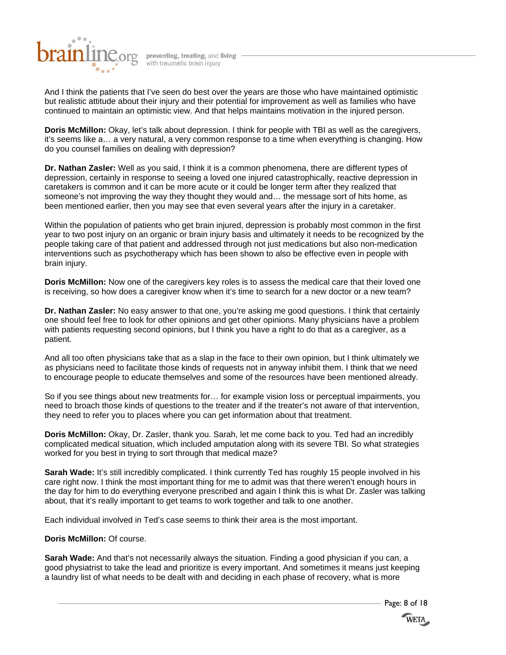

And I think the patients that I've seen do best over the years are those who have maintained optimistic but realistic attitude about their injury and their potential for improvement as well as families who have continued to maintain an optimistic view. And that helps maintains motivation in the injured person.

**Doris McMillon:** Okay, let's talk about depression. I think for people with TBI as well as the caregivers, it's seems like a… a very natural, a very common response to a time when everything is changing. How do you counsel families on dealing with depression?

**Dr. Nathan Zasler:** Well as you said, I think it is a common phenomena, there are different types of depression, certainly in response to seeing a loved one injured catastrophically, reactive depression in caretakers is common and it can be more acute or it could be longer term after they realized that someone's not improving the way they thought they would and… the message sort of hits home, as been mentioned earlier, then you may see that even several years after the injury in a caretaker.

Within the population of patients who get brain injured, depression is probably most common in the first year to two post injury on an organic or brain injury basis and ultimately it needs to be recognized by the people taking care of that patient and addressed through not just medications but also non-medication interventions such as psychotherapy which has been shown to also be effective even in people with brain injury.

**Doris McMillon:** Now one of the caregivers key roles is to assess the medical care that their loved one is receiving, so how does a caregiver know when it's time to search for a new doctor or a new team?

**Dr. Nathan Zasler:** No easy answer to that one, you're asking me good questions. I think that certainly one should feel free to look for other opinions and get other opinions. Many physicians have a problem with patients requesting second opinions, but I think you have a right to do that as a caregiver, as a patient.

And all too often physicians take that as a slap in the face to their own opinion, but I think ultimately we as physicians need to facilitate those kinds of requests not in anyway inhibit them. I think that we need to encourage people to educate themselves and some of the resources have been mentioned already.

So if you see things about new treatments for… for example vision loss or perceptual impairments, you need to broach those kinds of questions to the treater and if the treater's not aware of that intervention, they need to refer you to places where you can get information about that treatment.

**Doris McMillon:** Okay, Dr. Zasler, thank you. Sarah, let me come back to you. Ted had an incredibly complicated medical situation, which included amputation along with its severe TBI. So what strategies worked for you best in trying to sort through that medical maze?

**Sarah Wade:** It's still incredibly complicated. I think currently Ted has roughly 15 people involved in his care right now. I think the most important thing for me to admit was that there weren't enough hours in the day for him to do everything everyone prescribed and again I think this is what Dr. Zasler was talking about, that it's really important to get teams to work together and talk to one another.

Each individual involved in Ted's case seems to think their area is the most important.

# **Doris McMillon:** Of course.

**Sarah Wade:** And that's not necessarily always the situation. Finding a good physician if you can, a good physiatrist to take the lead and prioritize is every important. And sometimes it means just keeping a laundry list of what needs to be dealt with and deciding in each phase of recovery, what is more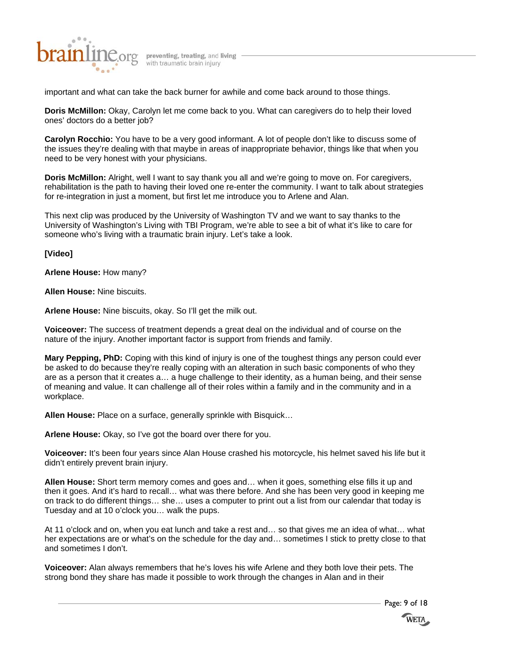

important and what can take the back burner for awhile and come back around to those things.

**Doris McMillon:** Okay, Carolyn let me come back to you. What can caregivers do to help their loved ones' doctors do a better job?

**Carolyn Rocchio:** You have to be a very good informant. A lot of people don't like to discuss some of the issues they're dealing with that maybe in areas of inappropriate behavior, things like that when you need to be very honest with your physicians.

**Doris McMillon:** Alright, well I want to say thank you all and we're going to move on. For caregivers, rehabilitation is the path to having their loved one re-enter the community. I want to talk about strategies for re-integration in just a moment, but first let me introduce you to Arlene and Alan.

This next clip was produced by the University of Washington TV and we want to say thanks to the University of Washington's Living with TBI Program, we're able to see a bit of what it's like to care for someone who's living with a traumatic brain injury. Let's take a look.

**[Video]** 

**Arlene House:** How many?

**Allen House:** Nine biscuits.

**Arlene House:** Nine biscuits, okay. So I'll get the milk out.

**Voiceover:** The success of treatment depends a great deal on the individual and of course on the nature of the injury. Another important factor is support from friends and family.

**Mary Pepping, PhD:** Coping with this kind of injury is one of the toughest things any person could ever be asked to do because they're really coping with an alteration in such basic components of who they are as a person that it creates a… a huge challenge to their identity, as a human being, and their sense of meaning and value. It can challenge all of their roles within a family and in the community and in a workplace.

**Allen House:** Place on a surface, generally sprinkle with Bisquick…

**Arlene House:** Okay, so I've got the board over there for you.

**Voiceover:** It's been four years since Alan House crashed his motorcycle, his helmet saved his life but it didn't entirely prevent brain injury.

**Allen House:** Short term memory comes and goes and… when it goes, something else fills it up and then it goes. And it's hard to recall… what was there before. And she has been very good in keeping me on track to do different things… she… uses a computer to print out a list from our calendar that today is Tuesday and at 10 o'clock you… walk the pups.

At 11 o'clock and on, when you eat lunch and take a rest and… so that gives me an idea of what… what her expectations are or what's on the schedule for the day and… sometimes I stick to pretty close to that and sometimes I don't.

**Voiceover:** Alan always remembers that he's loves his wife Arlene and they both love their pets. The strong bond they share has made it possible to work through the changes in Alan and in their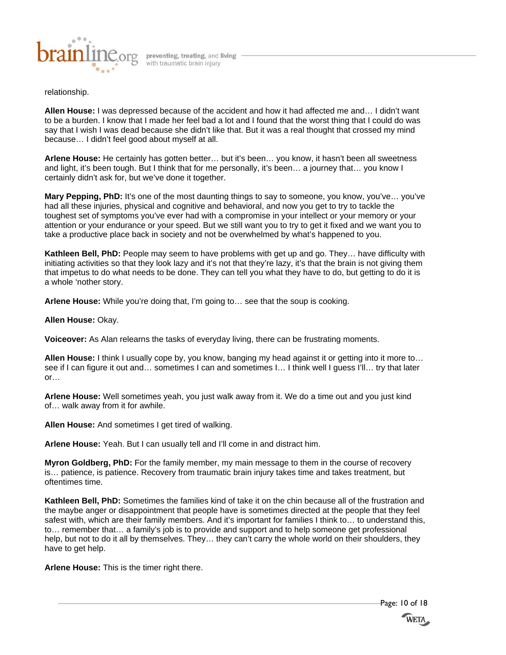

# relationship.

**Allen House:** I was depressed because of the accident and how it had affected me and… I didn't want to be a burden. I know that I made her feel bad a lot and I found that the worst thing that I could do was say that I wish I was dead because she didn't like that. But it was a real thought that crossed my mind because… I didn't feel good about myself at all.

**Arlene House:** He certainly has gotten better… but it's been… you know, it hasn't been all sweetness and light, it's been tough. But I think that for me personally, it's been… a journey that… you know I certainly didn't ask for, but we've done it together.

**Mary Pepping, PhD:** It's one of the most daunting things to say to someone, you know, you've... you've had all these injuries, physical and cognitive and behavioral, and now you get to try to tackle the toughest set of symptoms you've ever had with a compromise in your intellect or your memory or your attention or your endurance or your speed. But we still want you to try to get it fixed and we want you to take a productive place back in society and not be overwhelmed by what's happened to you.

**Kathleen Bell, PhD:** People may seem to have problems with get up and go. They… have difficulty with initiating activities so that they look lazy and it's not that they're lazy, it's that the brain is not giving them that impetus to do what needs to be done. They can tell you what they have to do, but getting to do it is a whole 'nother story.

**Arlene House:** While you're doing that, I'm going to… see that the soup is cooking.

#### **Allen House:** Okay.

**Voiceover:** As Alan relearns the tasks of everyday living, there can be frustrating moments.

**Allen House:** I think I usually cope by, you know, banging my head against it or getting into it more to… see if I can figure it out and... sometimes I can and sometimes I... I think well I guess I'll... try that later or…

**Arlene House:** Well sometimes yeah, you just walk away from it. We do a time out and you just kind of… walk away from it for awhile.

**Allen House:** And sometimes I get tired of walking.

**Arlene House:** Yeah. But I can usually tell and I'll come in and distract him.

**Myron Goldberg, PhD:** For the family member, my main message to them in the course of recovery is… patience, is patience. Recovery from traumatic brain injury takes time and takes treatment, but oftentimes time.

**Kathleen Bell, PhD:** Sometimes the families kind of take it on the chin because all of the frustration and the maybe anger or disappointment that people have is sometimes directed at the people that they feel safest with, which are their family members. And it's important for families I think to… to understand this, to… remember that… a family's job is to provide and support and to help someone get professional help, but not to do it all by themselves. They… they can't carry the whole world on their shoulders, they have to get help.

**Arlene House:** This is the timer right there.

Page: 10 of 18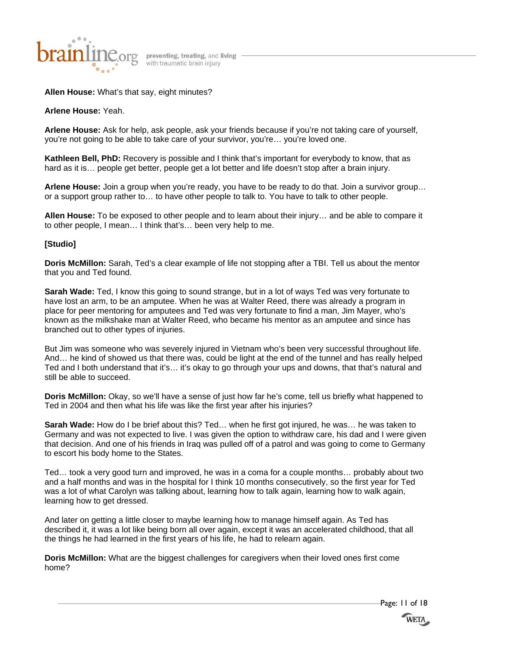

# **Allen House:** What's that say, eight minutes?

**Arlene House:** Yeah.

**Arlene House:** Ask for help, ask people, ask your friends because if you're not taking care of yourself, you're not going to be able to take care of your survivor, you're… you're loved one.

**Kathleen Bell, PhD:** Recovery is possible and I think that's important for everybody to know, that as hard as it is… people get better, people get a lot better and life doesn't stop after a brain injury.

**Arlene House:** Join a group when you're ready, you have to be ready to do that. Join a survivor group… or a support group rather to… to have other people to talk to. You have to talk to other people.

**Allen House:** To be exposed to other people and to learn about their injury… and be able to compare it to other people, I mean… I think that's… been very help to me.

# **[Studio]**

**Doris McMillon:** Sarah, Ted's a clear example of life not stopping after a TBI. Tell us about the mentor that you and Ted found.

**Sarah Wade:** Ted, I know this going to sound strange, but in a lot of ways Ted was very fortunate to have lost an arm, to be an amputee. When he was at Walter Reed, there was already a program in place for peer mentoring for amputees and Ted was very fortunate to find a man, Jim Mayer, who's known as the milkshake man at Walter Reed, who became his mentor as an amputee and since has branched out to other types of injuries.

But Jim was someone who was severely injured in Vietnam who's been very successful throughout life. And… he kind of showed us that there was, could be light at the end of the tunnel and has really helped Ted and I both understand that it's… it's okay to go through your ups and downs, that that's natural and still be able to succeed.

**Doris McMillon:** Okay, so we'll have a sense of just how far he's come, tell us briefly what happened to Ted in 2004 and then what his life was like the first year after his injuries?

**Sarah Wade:** How do I be brief about this? Ted… when he first got injured, he was… he was taken to Germany and was not expected to live. I was given the option to withdraw care, his dad and I were given that decision. And one of his friends in Iraq was pulled off of a patrol and was going to come to Germany to escort his body home to the States.

Ted… took a very good turn and improved, he was in a coma for a couple months… probably about two and a half months and was in the hospital for I think 10 months consecutively, so the first year for Ted was a lot of what Carolyn was talking about, learning how to talk again, learning how to walk again, learning how to get dressed.

And later on getting a little closer to maybe learning how to manage himself again. As Ted has described it, it was a lot like being born all over again, except it was an accelerated childhood, that all the things he had learned in the first years of his life, he had to relearn again.

**Doris McMillon:** What are the biggest challenges for caregivers when their loved ones first come home?

Page: 11 of 18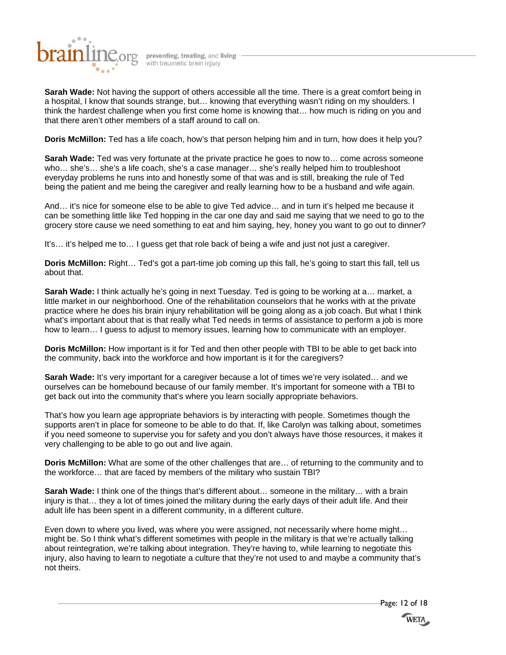

**Sarah Wade:** Not having the support of others accessible all the time. There is a great comfort being in a hospital, I know that sounds strange, but… knowing that everything wasn't riding on my shoulders. I think the hardest challenge when you first come home is knowing that… how much is riding on you and that there aren't other members of a staff around to call on.

**Doris McMillon:** Ted has a life coach, how's that person helping him and in turn, how does it help you?

**Sarah Wade:** Ted was very fortunate at the private practice he goes to now to… come across someone who… she's… she's a life coach, she's a case manager… she's really helped him to troubleshoot everyday problems he runs into and honestly some of that was and is still, breaking the rule of Ted being the patient and me being the caregiver and really learning how to be a husband and wife again.

And… it's nice for someone else to be able to give Ted advice… and in turn it's helped me because it can be something little like Ted hopping in the car one day and said me saying that we need to go to the grocery store cause we need something to eat and him saying, hey, honey you want to go out to dinner?

It's… it's helped me to… I guess get that role back of being a wife and just not just a caregiver.

**Doris McMillon:** Right… Ted's got a part-time job coming up this fall, he's going to start this fall, tell us about that.

**Sarah Wade:** I think actually he's going in next Tuesday. Ted is going to be working at a… market, a little market in our neighborhood. One of the rehabilitation counselors that he works with at the private practice where he does his brain injury rehabilitation will be going along as a job coach. But what I think what's important about that is that really what Ted needs in terms of assistance to perform a job is more how to learn… I guess to adjust to memory issues, learning how to communicate with an employer.

**Doris McMillon:** How important is it for Ted and then other people with TBI to be able to get back into the community, back into the workforce and how important is it for the caregivers?

**Sarah Wade:** It's very important for a caregiver because a lot of times we're very isolated… and we ourselves can be homebound because of our family member. It's important for someone with a TBI to get back out into the community that's where you learn socially appropriate behaviors.

That's how you learn age appropriate behaviors is by interacting with people. Sometimes though the supports aren't in place for someone to be able to do that. If, like Carolyn was talking about, sometimes if you need someone to supervise you for safety and you don't always have those resources, it makes it very challenging to be able to go out and live again.

**Doris McMillon:** What are some of the other challenges that are… of returning to the community and to the workforce… that are faced by members of the military who sustain TBI?

**Sarah Wade:** I think one of the things that's different about… someone in the military… with a brain injury is that… they a lot of times joined the military during the early days of their adult life. And their adult life has been spent in a different community, in a different culture.

Even down to where you lived, was where you were assigned, not necessarily where home might… might be. So I think what's different sometimes with people in the military is that we're actually talking about reintegration, we're talking about integration. They're having to, while learning to negotiate this injury, also having to learn to negotiate a culture that they're not used to and maybe a community that's not theirs.

Page: 12 of 18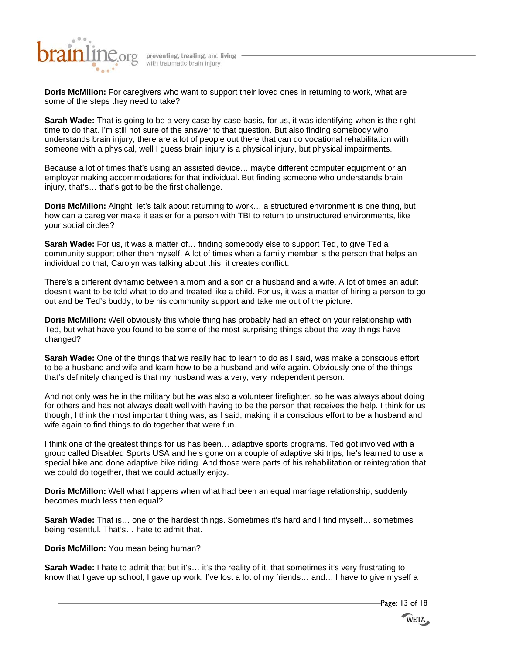

**Doris McMillon:** For caregivers who want to support their loved ones in returning to work, what are some of the steps they need to take?

**Sarah Wade:** That is going to be a very case-by-case basis, for us, it was identifying when is the right time to do that. I'm still not sure of the answer to that question. But also finding somebody who understands brain injury, there are a lot of people out there that can do vocational rehabilitation with someone with a physical, well I guess brain injury is a physical injury, but physical impairments.

Because a lot of times that's using an assisted device… maybe different computer equipment or an employer making accommodations for that individual. But finding someone who understands brain injury, that's… that's got to be the first challenge.

**Doris McMillon:** Alright, let's talk about returning to work… a structured environment is one thing, but how can a caregiver make it easier for a person with TBI to return to unstructured environments, like your social circles?

**Sarah Wade:** For us, it was a matter of… finding somebody else to support Ted, to give Ted a community support other then myself. A lot of times when a family member is the person that helps an individual do that, Carolyn was talking about this, it creates conflict.

There's a different dynamic between a mom and a son or a husband and a wife. A lot of times an adult doesn't want to be told what to do and treated like a child. For us, it was a matter of hiring a person to go out and be Ted's buddy, to be his community support and take me out of the picture.

**Doris McMillon:** Well obviously this whole thing has probably had an effect on your relationship with Ted, but what have you found to be some of the most surprising things about the way things have changed?

**Sarah Wade:** One of the things that we really had to learn to do as I said, was make a conscious effort to be a husband and wife and learn how to be a husband and wife again. Obviously one of the things that's definitely changed is that my husband was a very, very independent person.

And not only was he in the military but he was also a volunteer firefighter, so he was always about doing for others and has not always dealt well with having to be the person that receives the help. I think for us though, I think the most important thing was, as I said, making it a conscious effort to be a husband and wife again to find things to do together that were fun.

I think one of the greatest things for us has been… adaptive sports programs. Ted got involved with a group called Disabled Sports USA and he's gone on a couple of adaptive ski trips, he's learned to use a special bike and done adaptive bike riding. And those were parts of his rehabilitation or reintegration that we could do together, that we could actually enjoy.

**Doris McMillon:** Well what happens when what had been an equal marriage relationship, suddenly becomes much less then equal?

**Sarah Wade:** That is… one of the hardest things. Sometimes it's hard and I find myself… sometimes being resentful. That's… hate to admit that.

# **Doris McMillon:** You mean being human?

**Sarah Wade:** I hate to admit that but it's... it's the reality of it, that sometimes it's very frustrating to know that I gave up school, I gave up work, I've lost a lot of my friends… and… I have to give myself a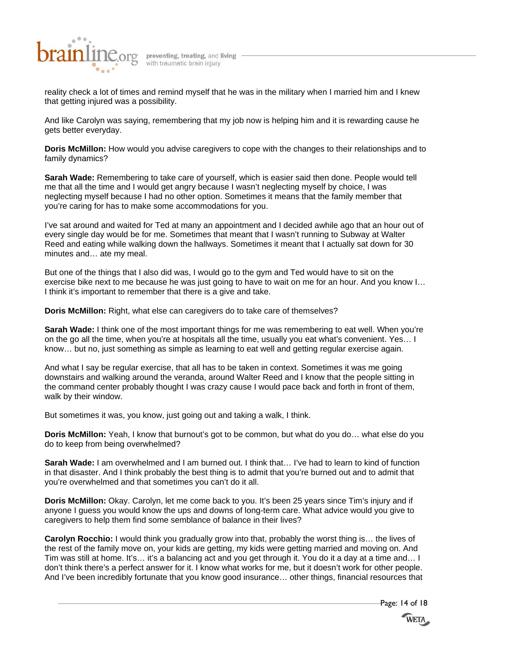

reality check a lot of times and remind myself that he was in the military when I married him and I knew that getting injured was a possibility.

And like Carolyn was saying, remembering that my job now is helping him and it is rewarding cause he gets better everyday.

**Doris McMillon:** How would you advise caregivers to cope with the changes to their relationships and to family dynamics?

**Sarah Wade:** Remembering to take care of yourself, which is easier said then done. People would tell me that all the time and I would get angry because I wasn't neglecting myself by choice, I was neglecting myself because I had no other option. Sometimes it means that the family member that you're caring for has to make some accommodations for you.

I've sat around and waited for Ted at many an appointment and I decided awhile ago that an hour out of every single day would be for me. Sometimes that meant that I wasn't running to Subway at Walter Reed and eating while walking down the hallways. Sometimes it meant that I actually sat down for 30 minutes and… ate my meal.

But one of the things that I also did was, I would go to the gym and Ted would have to sit on the exercise bike next to me because he was just going to have to wait on me for an hour. And you know I… I think it's important to remember that there is a give and take.

**Doris McMillon:** Right, what else can caregivers do to take care of themselves?

**Sarah Wade:** I think one of the most important things for me was remembering to eat well. When you're on the go all the time, when you're at hospitals all the time, usually you eat what's convenient. Yes… I know… but no, just something as simple as learning to eat well and getting regular exercise again.

And what I say be regular exercise, that all has to be taken in context. Sometimes it was me going downstairs and walking around the veranda, around Walter Reed and I know that the people sitting in the command center probably thought I was crazy cause I would pace back and forth in front of them, walk by their window.

But sometimes it was, you know, just going out and taking a walk, I think.

**Doris McMillon:** Yeah, I know that burnout's got to be common, but what do you do… what else do you do to keep from being overwhelmed?

**Sarah Wade:** I am overwhelmed and I am burned out. I think that… I've had to learn to kind of function in that disaster. And I think probably the best thing is to admit that you're burned out and to admit that you're overwhelmed and that sometimes you can't do it all.

**Doris McMillon:** Okay. Carolyn, let me come back to you. It's been 25 years since Tim's injury and if anyone I guess you would know the ups and downs of long-term care. What advice would you give to caregivers to help them find some semblance of balance in their lives?

**Carolyn Rocchio:** I would think you gradually grow into that, probably the worst thing is… the lives of the rest of the family move on, your kids are getting, my kids were getting married and moving on. And Tim was still at home. It's… it's a balancing act and you get through it. You do it a day at a time and… I don't think there's a perfect answer for it. I know what works for me, but it doesn't work for other people. And I've been incredibly fortunate that you know good insurance… other things, financial resources that

Page: 14 of 18

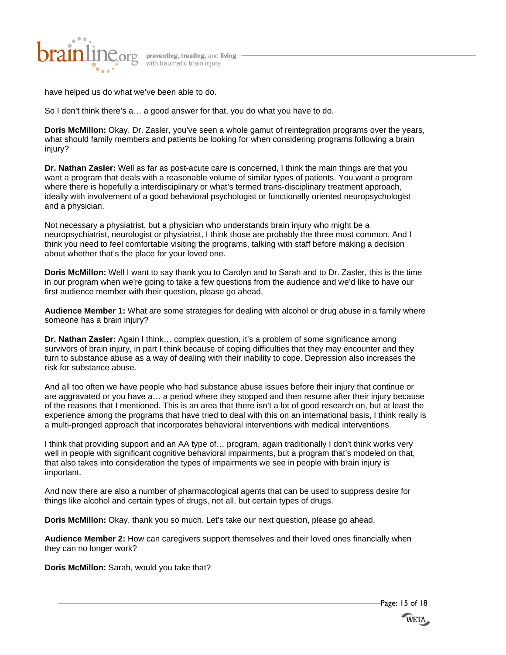

have helped us do what we've been able to do.

So I don't think there's a… a good answer for that, you do what you have to do.

**Doris McMillon:** Okay. Dr. Zasler, you've seen a whole gamut of reintegration programs over the years, what should family members and patients be looking for when considering programs following a brain injury?

**Dr. Nathan Zasler:** Well as far as post-acute care is concerned, I think the main things are that you want a program that deals with a reasonable volume of similar types of patients. You want a program where there is hopefully a interdisciplinary or what's termed trans-disciplinary treatment approach, ideally with involvement of a good behavioral psychologist or functionally oriented neuropsychologist and a physician.

Not necessary a physiatrist, but a physician who understands brain injury who might be a neuropsychiatrist, neurologist or physiatrist, I think those are probably the three most common. And I think you need to feel comfortable visiting the programs, talking with staff before making a decision about whether that's the place for your loved one.

**Doris McMillon:** Well I want to say thank you to Carolyn and to Sarah and to Dr. Zasler, this is the time in our program when we're going to take a few questions from the audience and we'd like to have our first audience member with their question, please go ahead.

**Audience Member 1:** What are some strategies for dealing with alcohol or drug abuse in a family where someone has a brain injury?

**Dr. Nathan Zasler:** Again I think… complex question, it's a problem of some significance among survivors of brain injury, in part I think because of coping difficulties that they may encounter and they turn to substance abuse as a way of dealing with their inability to cope. Depression also increases the risk for substance abuse.

And all too often we have people who had substance abuse issues before their injury that continue or are aggravated or you have a… a period where they stopped and then resume after their injury because of the reasons that I mentioned. This is an area that there isn't a lot of good research on, but at least the experience among the programs that have tried to deal with this on an international basis, I think really is a multi-pronged approach that incorporates behavioral interventions with medical interventions.

I think that providing support and an AA type of… program, again traditionally I don't think works very well in people with significant cognitive behavioral impairments, but a program that's modeled on that, that also takes into consideration the types of impairments we see in people with brain injury is important.

And now there are also a number of pharmacological agents that can be used to suppress desire for things like alcohol and certain types of drugs, not all, but certain types of drugs.

**Doris McMillon:** Okay, thank you so much. Let's take our next question, please go ahead.

**Audience Member 2:** How can caregivers support themselves and their loved ones financially when they can no longer work?

**Doris McMillon:** Sarah, would you take that?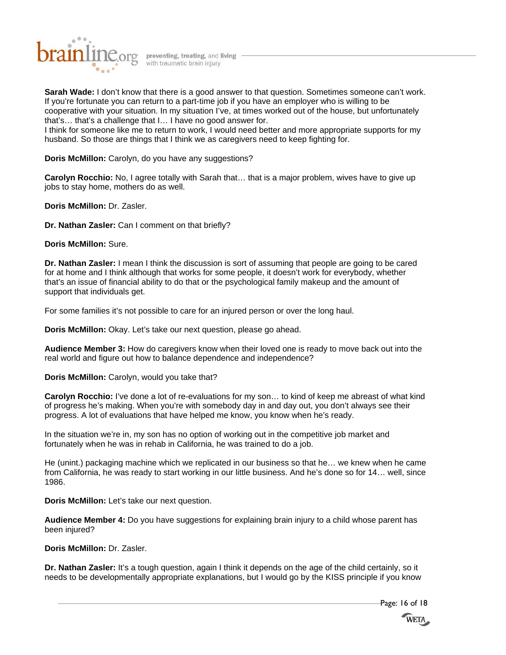

**Sarah Wade:** I don't know that there is a good answer to that question. Sometimes someone can't work. If you're fortunate you can return to a part-time job if you have an employer who is willing to be cooperative with your situation. In my situation I've, at times worked out of the house, but unfortunately that's… that's a challenge that I… I have no good answer for.

I think for someone like me to return to work, I would need better and more appropriate supports for my husband. So those are things that I think we as caregivers need to keep fighting for.

**Doris McMillon:** Carolyn, do you have any suggestions?

**Carolyn Rocchio:** No, I agree totally with Sarah that… that is a major problem, wives have to give up jobs to stay home, mothers do as well.

**Doris McMillon:** Dr. Zasler.

**Dr. Nathan Zasler:** Can I comment on that briefly?

**Doris McMillon:** Sure.

**Dr. Nathan Zasler:** I mean I think the discussion is sort of assuming that people are going to be cared for at home and I think although that works for some people, it doesn't work for everybody, whether that's an issue of financial ability to do that or the psychological family makeup and the amount of support that individuals get.

For some families it's not possible to care for an injured person or over the long haul.

**Doris McMillon:** Okay. Let's take our next question, please go ahead.

**Audience Member 3:** How do caregivers know when their loved one is ready to move back out into the real world and figure out how to balance dependence and independence?

**Doris McMillon:** Carolyn, would you take that?

**Carolyn Rocchio:** I've done a lot of re-evaluations for my son… to kind of keep me abreast of what kind of progress he's making. When you're with somebody day in and day out, you don't always see their progress. A lot of evaluations that have helped me know, you know when he's ready.

In the situation we're in, my son has no option of working out in the competitive job market and fortunately when he was in rehab in California, he was trained to do a job.

He (unint.) packaging machine which we replicated in our business so that he… we knew when he came from California, he was ready to start working in our little business. And he's done so for 14… well, since 1986.

**Doris McMillon:** Let's take our next question.

**Audience Member 4:** Do you have suggestions for explaining brain injury to a child whose parent has been injured?

**Doris McMillon:** Dr. Zasler.

**Dr. Nathan Zasler:** It's a tough question, again I think it depends on the age of the child certainly, so it needs to be developmentally appropriate explanations, but I would go by the KISS principle if you know

Page: 16 of 18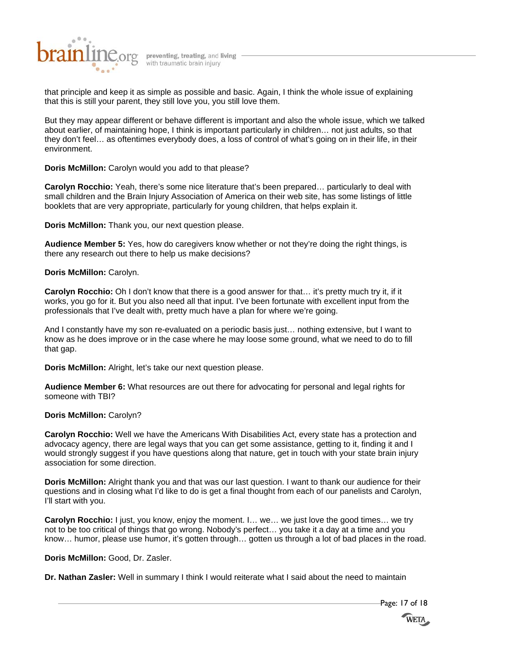

that principle and keep it as simple as possible and basic. Again, I think the whole issue of explaining that this is still your parent, they still love you, you still love them.

But they may appear different or behave different is important and also the whole issue, which we talked about earlier, of maintaining hope, I think is important particularly in children… not just adults, so that they don't feel… as oftentimes everybody does, a loss of control of what's going on in their life, in their environment.

**Doris McMillon:** Carolyn would you add to that please?

**Carolyn Rocchio:** Yeah, there's some nice literature that's been prepared… particularly to deal with small children and the Brain Injury Association of America on their web site, has some listings of little booklets that are very appropriate, particularly for young children, that helps explain it.

**Doris McMillon:** Thank you, our next question please.

**Audience Member 5:** Yes, how do caregivers know whether or not they're doing the right things, is there any research out there to help us make decisions?

**Doris McMillon:** Carolyn.

**Carolyn Rocchio:** Oh I don't know that there is a good answer for that… it's pretty much try it, if it works, you go for it. But you also need all that input. I've been fortunate with excellent input from the professionals that I've dealt with, pretty much have a plan for where we're going.

And I constantly have my son re-evaluated on a periodic basis just… nothing extensive, but I want to know as he does improve or in the case where he may loose some ground, what we need to do to fill that gap.

**Doris McMillon:** Alright, let's take our next question please.

**Audience Member 6:** What resources are out there for advocating for personal and legal rights for someone with TBI?

# **Doris McMillon:** Carolyn?

**Carolyn Rocchio:** Well we have the Americans With Disabilities Act, every state has a protection and advocacy agency, there are legal ways that you can get some assistance, getting to it, finding it and I would strongly suggest if you have questions along that nature, get in touch with your state brain injury association for some direction.

**Doris McMillon:** Alright thank you and that was our last question. I want to thank our audience for their questions and in closing what I'd like to do is get a final thought from each of our panelists and Carolyn, I'll start with you.

**Carolyn Rocchio:** I just, you know, enjoy the moment. I… we… we just love the good times… we try not to be too critical of things that go wrong. Nobody's perfect… you take it a day at a time and you know… humor, please use humor, it's gotten through… gotten us through a lot of bad places in the road.

# **Doris McMillon:** Good, Dr. Zasler.

**Dr. Nathan Zasler:** Well in summary I think I would reiterate what I said about the need to maintain